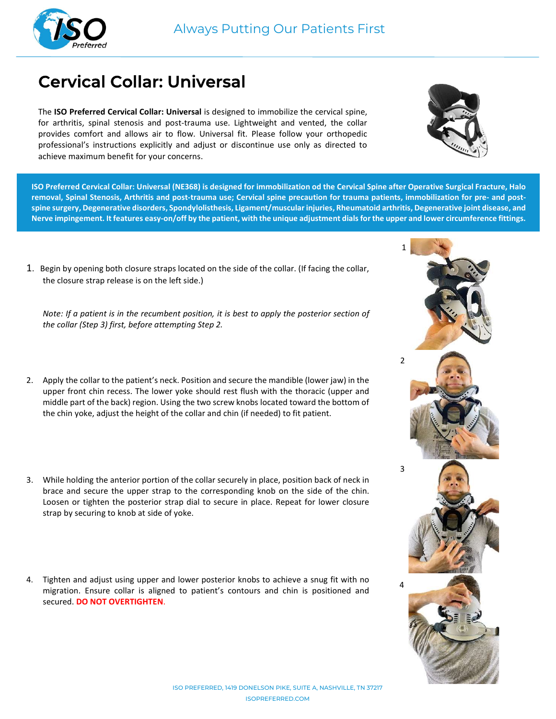

# Cervical Collar: Universal

The ISO Preferred Cervical Collar: Universal is designed to immobilize the cervical spine, for arthritis, spinal stenosis and post-trauma use. Lightweight and vented, the collar provides comfort and allows air to flow. Universal fit. Please follow your orthopedic professional's instructions explicitly and adjust or discontinue use only as directed to achieve maximum benefit for your concerns.



ISO Preferred Cervical Collar: Universal (NE368) is designed for immobilization od the Cervical Spine after Operative Surgical Fracture, Halo removal, Spinal Stenosis, Arthritis and post-trauma use; Cervical spine precaution for trauma patients, immobilization for pre- and postspine surgery, Degenerative disorders, Spondylolisthesis, Ligament/muscular injuries, Rheumatoid arthritis, Degenerative joint disease, and Nerve impingement. It features easy-on/off by the patient, with the unique adjustment dials for the upper and lower circumference fittings.

1. Begin by opening both closure straps located on the side of the collar. (If facing the collar, the closure strap release is on the left side.)

Note: If a patient is in the recumbent position, it is best to apply the posterior section of the collar (Step 3) first, before attempting Step 2.

- 2. Apply the collar to the patient's neck. Position and secure the mandible (lower jaw) in the upper front chin recess. The lower yoke should rest flush with the thoracic (upper and middle part of the back) region. Using the two screw knobs located toward the bottom of the chin yoke, adjust the height of the collar and chin (if needed) to fit patient.
- 3. While holding the anterior portion of the collar securely in place, position back of neck in brace and secure the upper strap to the corresponding knob on the side of the chin. Loosen or tighten the posterior strap dial to secure in place. Repeat for lower closure strap by securing to knob at side of yoke.
- 4. Tighten and adjust using upper and lower posterior knobs to achieve a snug fit with no migration. Ensure collar is aligned to patient's contours and chin is positioned and secured. DO NOT OVERTIGHTEN.